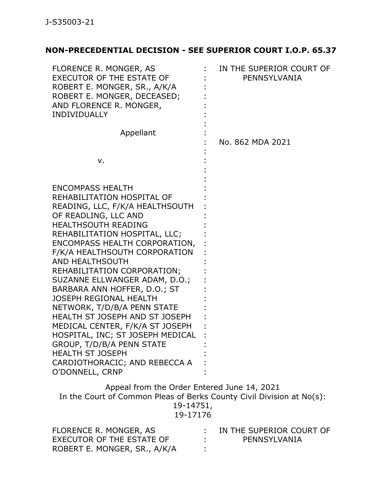## **NON-PRECEDENTIAL DECISION - SEE SUPERIOR COURT I.O.P. 65.37**

19-14751,

19-17176

| FLORENCE R. MONGER, AS       | $\pm$ IN THE SUPERIOR COURT OF |
|------------------------------|--------------------------------|
| EXECUTOR OF THE ESTATE OF    | PENNSYLVANIA                   |
| ROBERT E. MONGER, SR., A/K/A |                                |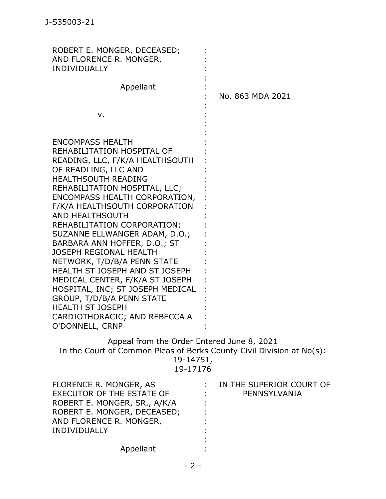| ROBERT E. MONGER, DECEASED;<br>AND FLORENCE R. MONGER,<br><b>INDIVIDUALLY</b>                                                                                                                                                                                                                                                                                                                                                                                                                                                                                                                                                                      |                  |
|----------------------------------------------------------------------------------------------------------------------------------------------------------------------------------------------------------------------------------------------------------------------------------------------------------------------------------------------------------------------------------------------------------------------------------------------------------------------------------------------------------------------------------------------------------------------------------------------------------------------------------------------------|------------------|
| Appellant                                                                                                                                                                                                                                                                                                                                                                                                                                                                                                                                                                                                                                          | No. 863 MDA 2021 |
| ν.                                                                                                                                                                                                                                                                                                                                                                                                                                                                                                                                                                                                                                                 |                  |
| <b>ENCOMPASS HEALTH</b><br>REHABILITATION HOSPITAL OF<br>READING, LLC, F/K/A HEALTHSOUTH<br>OF READLING, LLC AND<br>HEALTHSOUTH READING<br>REHABILITATION HOSPITAL, LLC;<br>ENCOMPASS HEALTH CORPORATION,<br>F/K/A HEALTHSOUTH CORPORATION<br>AND HEALTHSOUTH<br>REHABILITATION CORPORATION;<br>SUZANNE ELLWANGER ADAM, D.O.;<br>BARBARA ANN HOFFER, D.O.; ST<br><b>JOSEPH REGIONAL HEALTH</b><br>NETWORK, T/D/B/A PENN STATE<br>HEALTH ST JOSEPH AND ST JOSEPH<br>MEDICAL CENTER, F/K/A ST JOSEPH<br>HOSPITAL, INC; ST JOSEPH MEDICAL<br>GROUP, T/D/B/A PENN STATE<br><b>HEALTH ST JOSEPH</b><br>CARDIOTHORACIC; AND REBECCA A<br>O'DONNELL, CRNP |                  |
| Appeal from the Order Entered June 8, 2021<br>In the Court of Common Pleas of Berks County Civil Division at No(s):                                                                                                                                                                                                                                                                                                                                                                                                                                                                                                                                |                  |

19-14751,

| n<br>- | 717 | c<br>n |
|--------|-----|--------|
|        |     |        |

| IN THE SUPERIOR COURT OF |
|--------------------------|
| PENNSYLVANIA             |
|                          |
|                          |
|                          |
|                          |
|                          |
|                          |
|                          |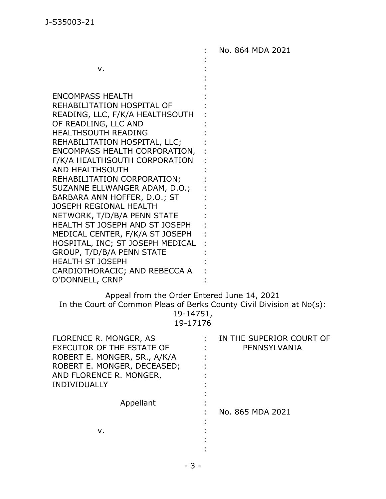v. ENCOMPASS HEALTH REHABILITATION HOSPITAL OF READING, LLC, F/K/A HEALTHSOUTH OF READLING, LLC AND HEALTHSOUTH READING REHABILITATION HOSPITAL, LLC; ENCOMPASS HEALTH CORPORATION, F/K/A HEALTHSOUTH CORPORATION AND HEALTHSOUTH REHABILITATION CORPORATION; SUZANNE ELLWANGER ADAM, D.O.; BARBARA ANN HOFFER, D.O.; ST JOSEPH REGIONAL HEALTH NETWORK, T/D/B/A PENN STATE HEALTH ST JOSEPH AND ST JOSEPH MEDICAL CENTER, F/K/A ST JOSEPH HOSPITAL, INC; ST JOSEPH MEDICAL GROUP, T/D/B/A PENN STATE HEALTH ST JOSEPH CARDIOTHORACIC; AND REBECCA A O'DONNELL, CRNP : : : : : : : : : : : : : : : : : : : : : : : : : : No. 864 MDA 2021

Appeal from the Order Entered June 14, 2021 In the Court of Common Pleas of Berks County Civil Division at No(s): 19-14751, 19-17176

| <b>FLORENCE R. MONGER, AS</b> | IN THE SUPERIOR COURT OF |
|-------------------------------|--------------------------|
| EXECUTOR OF THE ESTATE OF     | PENNSYLVANIA             |
| ROBERT E. MONGER, SR., A/K/A  |                          |
| ROBERT E. MONGER, DECEASED;   |                          |
| AND FLORENCE R. MONGER,       |                          |
| INDIVIDUALLY                  |                          |
|                               |                          |
| Appellant                     |                          |
|                               | No. 865 MDA 2021         |
|                               |                          |
| v.                            |                          |
|                               |                          |
|                               |                          |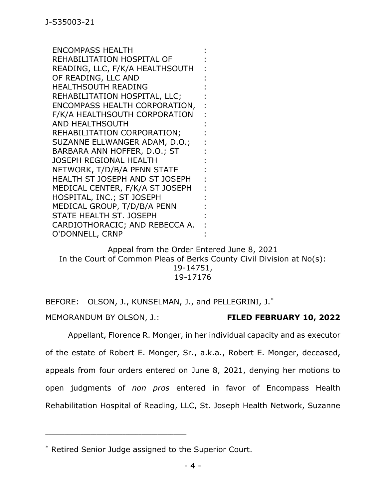ENCOMPASS HEALTH REHABILITATION HOSPITAL OF READING, LLC, F/K/A HEALTHSOUTH OF READING, LLC AND HEALTHSOUTH READING REHABILITATION HOSPITAL, LLC; ENCOMPASS HEALTH CORPORATION, F/K/A HEALTHSOUTH CORPORATION AND HEALTHSOUTH REHABILITATION CORPORATION; SUZANNE ELLWANGER ADAM, D.O.; BARBARA ANN HOFFER, D.O.; ST JOSEPH REGIONAL HEALTH NETWORK, T/D/B/A PENN STATE HEALTH ST JOSEPH AND ST JOSEPH MEDICAL CENTER, F/K/A ST JOSEPH HOSPITAL, INC.; ST JOSEPH MEDICAL GROUP, T/D/B/A PENN STATE HEALTH ST. JOSEPH CARDIOTHORACIC; AND REBECCA A. O'DONNELL, CRNP

Appeal from the Order Entered June 8, 2021 In the Court of Common Pleas of Berks County Civil Division at No(s): 19-14751, 19-17176

: : : : : : : : : : : : : : : : : : : : :

BEFORE: OLSON, J., KUNSELMAN, J., and PELLEGRINI, J.\* MEMORANDUM BY OLSON, J.: **FILED FEBRUARY 10, 2022**

Appellant, Florence R. Monger, in her individual capacity and as executor of the estate of Robert E. Monger, Sr., a.k.a., Robert E. Monger, deceased, appeals from four orders entered on June 8, 2021, denying her motions to open judgments of *non pros* entered in favor of Encompass Health Rehabilitation Hospital of Reading, LLC, St. Joseph Health Network, Suzanne

\_\_\_\_\_\_\_\_\_\_\_\_\_\_\_\_\_\_\_\_\_\_\_\_\_\_\_\_\_\_\_\_\_\_\_\_\_\_\_\_\_\_\_\_

<sup>\*</sup> Retired Senior Judge assigned to the Superior Court.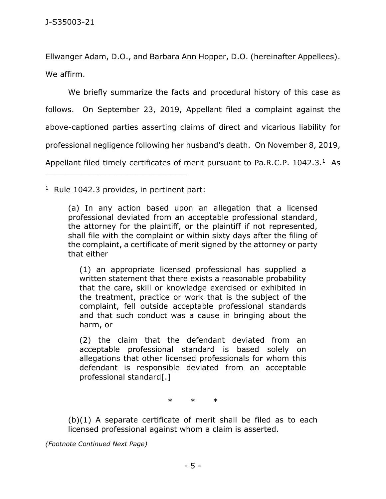Ellwanger Adam, D.O., and Barbara Ann Hopper, D.O. (hereinafter Appellees). We affirm.

We briefly summarize the facts and procedural history of this case as follows. On September 23, 2019, Appellant filed a complaint against the above-captioned parties asserting claims of direct and vicarious liability for professional negligence following her husband's death. On November 8, 2019, Appellant filed timely certificates of merit pursuant to Pa.R.C.P.  $1042.3.^1$  As

 $1$  Rule 1042.3 provides, in pertinent part:

\_\_\_\_\_\_\_\_\_\_\_\_\_\_\_\_\_\_\_\_\_\_\_\_\_\_\_\_\_\_\_\_\_\_\_\_\_\_\_\_\_\_\_\_

(1) an appropriate licensed professional has supplied a written statement that there exists a reasonable probability that the care, skill or knowledge exercised or exhibited in the treatment, practice or work that is the subject of the complaint, fell outside acceptable professional standards and that such conduct was a cause in bringing about the harm, or

(2) the claim that the defendant deviated from an acceptable professional standard is based solely on allegations that other licensed professionals for whom this defendant is responsible deviated from an acceptable professional standard[.]

\* \* \*

 $(b)(1)$  A separate certificate of merit shall be filed as to each licensed professional against whom a claim is asserted.

*(Footnote Continued Next Page)*

<sup>(</sup>a) In any action based upon an allegation that a licensed professional deviated from an acceptable professional standard, the attorney for the plaintiff, or the plaintiff if not represented, shall file with the complaint or within sixty days after the filing of the complaint, a certificate of merit signed by the attorney or party that either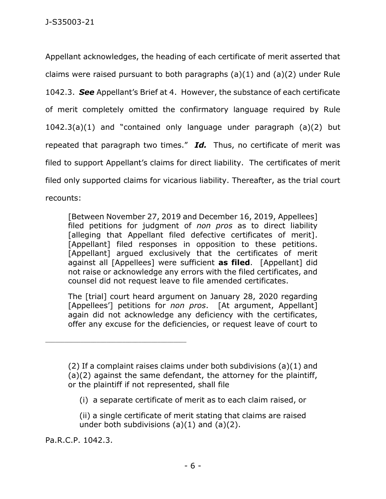Appellant acknowledges, the heading of each certificate of merit asserted that claims were raised pursuant to both paragraphs  $(a)(1)$  and  $(a)(2)$  under Rule 1042.3. *See* Appellant's Brief at 4. However, the substance of each certificate of merit completely omitted the confirmatory language required by Rule 1042.3(a)(1) and "contained only language under paragraph (a)(2) but repeated that paragraph two times." *Id.* Thus, no certificate of merit was filed to support Appellant's claims for direct liability. The certificates of merit filed only supported claims for vicarious liability. Thereafter, as the trial court recounts:

[Between November 27, 2019 and December 16, 2019, Appellees] filed petitions for judgment of *non pros* as to direct liability [alleging that Appellant filed defective certificates of merit]. [Appellant] filed responses in opposition to these petitions. [Appellant] argued exclusively that the certificates of merit against all [Appellees] were sufficient **as filed**. [Appellant] did not raise or acknowledge any errors with the filed certificates, and counsel did not request leave to file amended certificates.

The [trial] court heard argument on January 28, 2020 regarding [Appellees'] petitions for *non pros*. [At argument, Appellant] again did not acknowledge any deficiency with the certificates, offer any excuse for the deficiencies, or request leave of court to

(i) a separate certificate of merit as to each claim raised, or

(ii) a single certificate of merit stating that claims are raised under both subdivisions  $(a)(1)$  and  $(a)(2)$ .

Pa.R.C.P. 1042.3.

\_\_\_\_\_\_\_\_\_\_\_\_\_\_\_\_\_\_\_\_\_\_\_\_\_\_\_\_\_\_\_\_\_\_\_\_\_\_\_\_\_\_\_\_

<sup>(2)</sup> If a complaint raises claims under both subdivisions (a)(1) and (a)(2) against the same defendant, the attorney for the plaintiff, or the plaintiff if not represented, shall file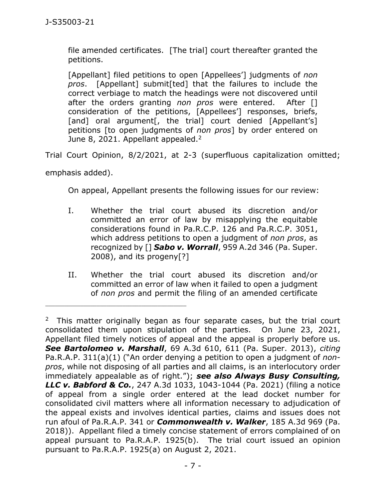file amended certificates. [The trial] court thereafter granted the petitions.

[Appellant] filed petitions to open [Appellees'] judgments of *non pros*. [Appellant] submit[ted] that the failures to include the correct verbiage to match the headings were not discovered until after the orders granting *non pros* were entered. After [] consideration of the petitions, [Appellees'] responses, briefs, [and] oral argument[, the trial] court denied [Appellant's] petitions [to open judgments of *non pros*] by order entered on June 8, 2021. Appellant appealed.<sup>2</sup>

Trial Court Opinion, 8/2/2021, at 2-3 (superfluous capitalization omitted;

emphasis added).

\_\_\_\_\_\_\_\_\_\_\_\_\_\_\_\_\_\_\_\_\_\_\_\_\_\_\_\_\_\_\_\_\_\_\_\_\_\_\_\_\_\_\_\_

On appeal, Appellant presents the following issues for our review:

- I. Whether the trial court abused its discretion and/or committed an error of law by misapplying the equitable considerations found in Pa.R.C.P. 126 and Pa.R.C.P. 3051, which address petitions to open a judgment of *non pros*, as recognized by [] *Sabo v. Worrall*, 959 A.2d 346 (Pa. Super. 2008), and its progeny[?]
- II. Whether the trial court abused its discretion and/or committed an error of law when it failed to open a judgment of *non pros* and permit the filing of an amended certificate

<sup>&</sup>lt;sup>2</sup> This matter originally began as four separate cases, but the trial court consolidated them upon stipulation of the parties. On June 23, 2021, Appellant filed timely notices of appeal and the appeal is properly before us. *See Bartolomeo v. Marshall*, 69 A.3d 610, 611 (Pa. Super. 2013), *citing* Pa.R.A.P. 311(a)(1) ("An order denying a petition to open a judgment of *nonpros*, while not disposing of all parties and all claims, is an interlocutory order immediately appealable as of right."); *see also Always Busy Consulting, LLC v. Babford & Co.*, 247 A.3d 1033, 1043-1044 (Pa. 2021) (filing a notice of appeal from a single order entered at the lead docket number for consolidated civil matters where all information necessary to adjudication of the appeal exists and involves identical parties, claims and issues does not run afoul of Pa.R.A.P. 341 or *Commonwealth v. Walker*, 185 A.3d 969 (Pa. 2018)). Appellant filed a timely concise statement of errors complained of on appeal pursuant to Pa.R.A.P. 1925(b). The trial court issued an opinion pursuant to Pa.R.A.P. 1925(a) on August 2, 2021.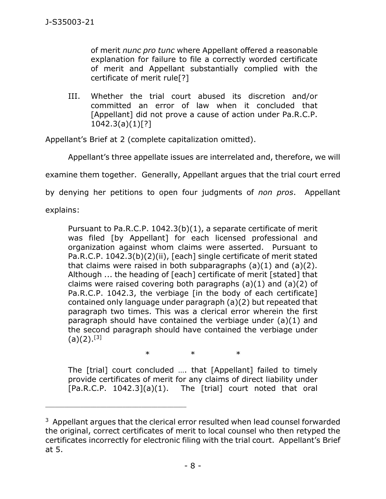of merit *nunc pro tunc* where Appellant offered a reasonable explanation for failure to file a correctly worded certificate of merit and Appellant substantially complied with the certificate of merit rule[?]

III. Whether the trial court abused its discretion and/or committed an error of law when it concluded that [Appellant] did not prove a cause of action under Pa.R.C.P.  $1042.3(a)(1)[?]$ 

Appellant's Brief at 2 (complete capitalization omitted).

Appellant's three appellate issues are interrelated and, therefore, we will

examine them together. Generally, Appellant argues that the trial court erred

by denying her petitions to open four judgments of *non pros*. Appellant

explains:

Pursuant to Pa.R.C.P. 1042.3(b)(1), a separate certificate of merit was filed [by Appellant] for each licensed professional and organization against whom claims were asserted. Pursuant to Pa.R.C.P. 1042.3(b)(2)(ii), [each] single certificate of merit stated that claims were raised in both subparagraphs  $(a)(1)$  and  $(a)(2)$ . Although ... the heading of [each] certificate of merit [stated] that claims were raised covering both paragraphs  $(a)(1)$  and  $(a)(2)$  of Pa.R.C.P. 1042.3, the verbiage [in the body of each certificate] contained only language under paragraph (a)(2) but repeated that paragraph two times. This was a clerical error wherein the first paragraph should have contained the verbiage under (a)(1) and the second paragraph should have contained the verbiage under  $(a)(2).^{[3]}$ 

\* \* \* The [trial] court concluded …. that [Appellant] failed to timely

\_\_\_\_\_\_\_\_\_\_\_\_\_\_\_\_\_\_\_\_\_\_\_\_\_\_\_\_\_\_\_\_\_\_\_\_\_\_\_\_\_\_\_\_

provide certificates of merit for any claims of direct liability under  $[Pa.R.C.P. 1042.3](a)(1)$ . The  $[trial]$  court noted that oral

 $3$  Appellant argues that the clerical error resulted when lead counsel forwarded the original, correct certificates of merit to local counsel who then retyped the certificates incorrectly for electronic filing with the trial court. Appellant's Brief at 5.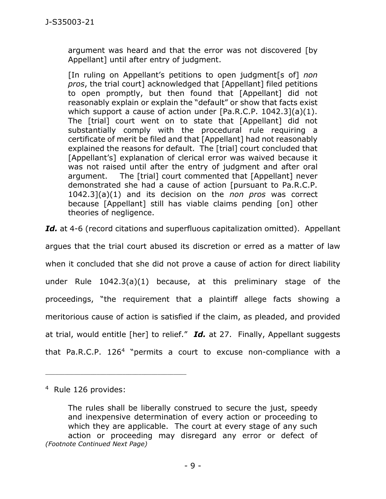argument was heard and that the error was not discovered [by Appellant] until after entry of judgment.

[In ruling on Appellant's petitions to open judgment[s of] *non pros*, the trial court] acknowledged that [Appellant] filed petitions to open promptly, but then found that [Appellant] did not reasonably explain or explain the "default" or show that facts exist which support a cause of action under [Pa.R.C.P. 1042.3](a)(1). The [trial] court went on to state that [Appellant] did not substantially comply with the procedural rule requiring a certificate of merit be filed and that [Appellant] had not reasonably explained the reasons for default. The [trial] court concluded that [Appellant's] explanation of clerical error was waived because it was not raised until after the entry of judgment and after oral argument. The [trial] court commented that [Appellant] never demonstrated she had a cause of action [pursuant to Pa.R.C.P. 1042.3](a)(1) and its decision on the *non pros* was correct because [Appellant] still has viable claims pending [on] other theories of negligence.

Id. at 4-6 (record citations and superfluous capitalization omitted). Appellant

argues that the trial court abused its discretion or erred as a matter of law when it concluded that she did not prove a cause of action for direct liability under Rule 1042.3(a)(1) because, at this preliminary stage of the proceedings, "the requirement that a plaintiff allege facts showing a meritorious cause of action is satisfied if the claim, as pleaded, and provided at trial, would entitle [her] to relief." *Id.* at 27. Finally, Appellant suggests that Pa.R.C.P. 126<sup>4</sup> "permits a court to excuse non-compliance with a

\_\_\_\_\_\_\_\_\_\_\_\_\_\_\_\_\_\_\_\_\_\_\_\_\_\_\_\_\_\_\_\_\_\_\_\_\_\_\_\_\_\_\_\_

<sup>4</sup> Rule 126 provides:

The rules shall be liberally construed to secure the just, speedy and inexpensive determination of every action or proceeding to which they are applicable. The court at every stage of any such action or proceeding may disregard any error or defect of *(Footnote Continued Next Page)*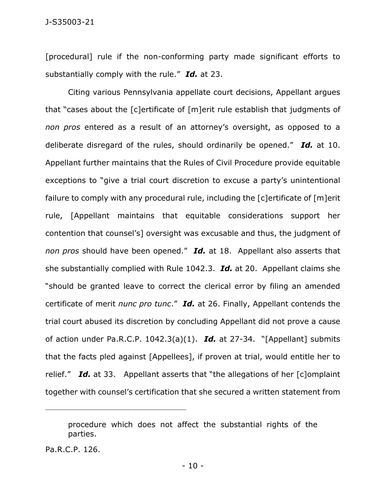[procedural] rule if the non-conforming party made significant efforts to substantially comply with the rule." *Id.* at 23.

Citing various Pennsylvania appellate court decisions, Appellant argues that "cases about the [c]ertificate of [m]erit rule establish that judgments of *non pros* entered as a result of an attorney's oversight, as opposed to a deliberate disregard of the rules, should ordinarily be opened." *Id.* at 10. Appellant further maintains that the Rules of Civil Procedure provide equitable exceptions to "give a trial court discretion to excuse a party's unintentional failure to comply with any procedural rule, including the [c]ertificate of [m]erit rule, [Appellant maintains that equitable considerations support her contention that counsel's] oversight was excusable and thus, the judgment of *non pros* should have been opened." *Id.* at 18. Appellant also asserts that she substantially complied with Rule 1042.3. *Id.* at 20. Appellant claims she "should be granted leave to correct the clerical error by filing an amended certificate of merit *nunc pro tunc*." *Id.* at 26. Finally, Appellant contends the trial court abused its discretion by concluding Appellant did not prove a cause of action under Pa.R.C.P. 1042.3(a)(1). *Id.* at 27-34. "[Appellant] submits that the facts pled against [Appellees], if proven at trial, would entitle her to relief." *Id.* at 33. Appellant asserts that "the allegations of her [c]omplaint together with counsel's certification that she secured a written statement from

procedure which does not affect the substantial rights of the parties.

Pa.R.C.P. 126.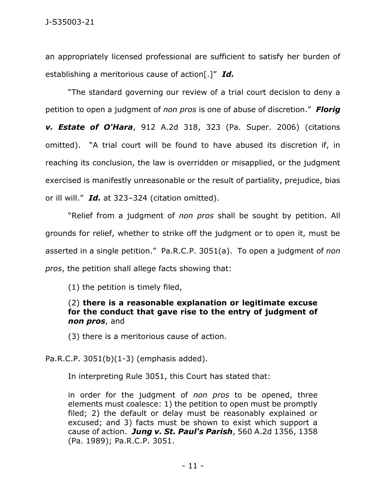an appropriately licensed professional are sufficient to satisfy her burden of establishing a meritorious cause of action[.]" *Id.*

"The standard governing our review of a trial court decision to deny a petition to open a judgment of *non pros* is one of abuse of discretion." *Florig v. Estate of O'Hara*, 912 A.2d 318, 323 (Pa. Super. 2006) (citations omitted). "A trial court will be found to have abused its discretion if, in reaching its conclusion, the law is overridden or misapplied, or the judgment exercised is manifestly unreasonable or the result of partiality, prejudice, bias or ill will." *Id.* at 323–324 (citation omitted).

"Relief from a judgment of *non pros* shall be sought by petition. All grounds for relief, whether to strike off the judgment or to open it, must be asserted in a single petition." Pa.R.C.P. 3051(a). To open a judgment of *non pros*, the petition shall allege facts showing that:

(1) the petition is timely filed,

(2) **there is a reasonable explanation or legitimate excuse for the conduct that gave rise to the entry of judgment of**  *non pros*, and

(3) there is a meritorious cause of action.

Pa.R.C.P. 3051(b)(1-3) (emphasis added).

In interpreting Rule 3051, this Court has stated that:

in order for the judgment of *non pros* to be opened, three elements must coalesce: 1) the petition to open must be promptly filed; 2) the default or delay must be reasonably explained or excused; and 3) facts must be shown to exist which support a cause of action. *Jung v. St. Paul's Parish*, 560 A.2d 1356, 1358 (Pa. 1989); Pa.R.C.P. 3051.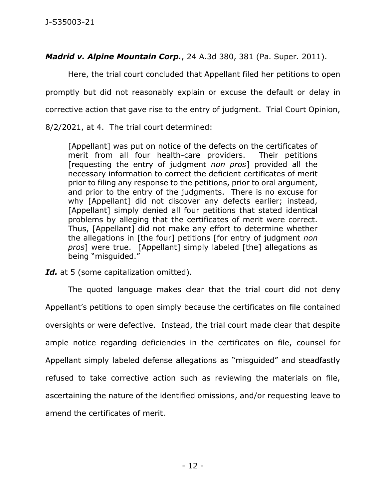*Madrid v. Alpine Mountain Corp.*, 24 A.3d 380, 381 (Pa. Super. 2011).

Here, the trial court concluded that Appellant filed her petitions to open promptly but did not reasonably explain or excuse the default or delay in corrective action that gave rise to the entry of judgment. Trial Court Opinion, 8/2/2021, at 4. The trial court determined:

[Appellant] was put on notice of the defects on the certificates of merit from all four health-care providers. Their petitions [requesting the entry of judgment *non pros*] provided all the necessary information to correct the deficient certificates of merit prior to filing any response to the petitions, prior to oral argument, and prior to the entry of the judgments. There is no excuse for why [Appellant] did not discover any defects earlier; instead, [Appellant] simply denied all four petitions that stated identical problems by alleging that the certificates of merit were correct. Thus, [Appellant] did not make any effort to determine whether the allegations in [the four] petitions [for entry of judgment *non pros*] were true. [Appellant] simply labeled [the] allegations as being "misguided."

Id. at 5 (some capitalization omitted).

The quoted language makes clear that the trial court did not deny Appellant's petitions to open simply because the certificates on file contained oversights or were defective. Instead, the trial court made clear that despite ample notice regarding deficiencies in the certificates on file, counsel for Appellant simply labeled defense allegations as "misguided" and steadfastly refused to take corrective action such as reviewing the materials on file, ascertaining the nature of the identified omissions, and/or requesting leave to amend the certificates of merit.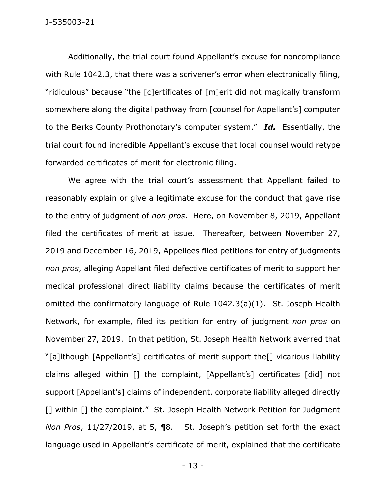Additionally, the trial court found Appellant's excuse for noncompliance with Rule 1042.3, that there was a scrivener's error when electronically filing, "ridiculous" because "the [c]ertificates of [m]erit did not magically transform somewhere along the digital pathway from [counsel for Appellant's] computer to the Berks County Prothonotary's computer system." *Id.* Essentially, the trial court found incredible Appellant's excuse that local counsel would retype forwarded certificates of merit for electronic filing.

We agree with the trial court's assessment that Appellant failed to reasonably explain or give a legitimate excuse for the conduct that gave rise to the entry of judgment of *non pros*. Here, on November 8, 2019, Appellant filed the certificates of merit at issue. Thereafter, between November 27, 2019 and December 16, 2019, Appellees filed petitions for entry of judgments *non pros*, alleging Appellant filed defective certificates of merit to support her medical professional direct liability claims because the certificates of merit omitted the confirmatory language of Rule 1042.3(a)(1). St. Joseph Health Network, for example, filed its petition for entry of judgment *non pros* on November 27, 2019. In that petition, St. Joseph Health Network averred that "[a]lthough [Appellant's] certificates of merit support the[] vicarious liability claims alleged within [] the complaint, [Appellant's] certificates [did] not support [Appellant's] claims of independent, corporate liability alleged directly [] within [] the complaint." St. Joseph Health Network Petition for Judgment *Non Pros*, 11/27/2019, at 5, ¶8. St. Joseph's petition set forth the exact language used in Appellant's certificate of merit, explained that the certificate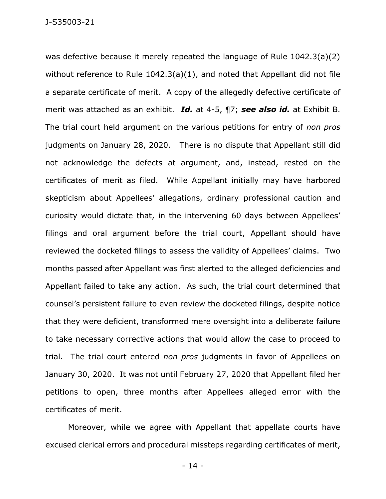was defective because it merely repeated the language of Rule 1042.3(a)(2) without reference to Rule 1042.3(a)(1), and noted that Appellant did not file a separate certificate of merit. A copy of the allegedly defective certificate of merit was attached as an exhibit. *Id.* at 4-5, ¶7; *see also id.* at Exhibit B. The trial court held argument on the various petitions for entry of *non pros* judgments on January 28, 2020. There is no dispute that Appellant still did not acknowledge the defects at argument, and, instead, rested on the certificates of merit as filed. While Appellant initially may have harbored skepticism about Appellees' allegations, ordinary professional caution and curiosity would dictate that, in the intervening 60 days between Appellees' filings and oral argument before the trial court, Appellant should have reviewed the docketed filings to assess the validity of Appellees' claims. Two months passed after Appellant was first alerted to the alleged deficiencies and Appellant failed to take any action. As such, the trial court determined that counsel's persistent failure to even review the docketed filings, despite notice that they were deficient, transformed mere oversight into a deliberate failure to take necessary corrective actions that would allow the case to proceed to trial. The trial court entered *non pros* judgments in favor of Appellees on January 30, 2020. It was not until February 27, 2020 that Appellant filed her petitions to open, three months after Appellees alleged error with the certificates of merit.

Moreover, while we agree with Appellant that appellate courts have excused clerical errors and procedural missteps regarding certificates of merit,

- 14 -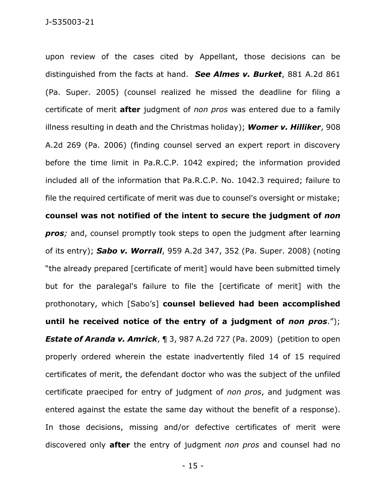upon review of the cases cited by Appellant, those decisions can be distinguished from the facts at hand. *See Almes v. Burket*, 881 A.2d 861 (Pa. Super. 2005) (counsel realized he missed the deadline for filing a certificate of merit **after** judgment of *non pros* was entered due to a family illness resulting in death and the Christmas holiday); *Womer v. Hilliker*, 908 A.2d 269 (Pa. 2006) (finding counsel served an expert report in discovery before the time limit in Pa.R.C.P. 1042 expired; the information provided included all of the information that Pa.R.C.P. No. 1042.3 required; failure to file the required certificate of merit was due to counsel's oversight or mistake; **counsel was not notified of the intent to secure the judgment of** *non pros;* and, counsel promptly took steps to open the judgment after learning of its entry); *Sabo v. Worrall*, 959 A.2d 347, 352 (Pa. Super. 2008) (noting "the already prepared [certificate of merit] would have been submitted timely but for the paralegal's failure to file the [certificate of merit] with the prothonotary, which [Sabo's] **counsel believed had been accomplished until he received notice of the entry of a judgment of** *non pros*."); **Estate of Aranda v. Amrick, ¶ 3, 987 A.2d 727 (Pa. 2009)** (petition to open properly ordered wherein the estate inadvertently filed 14 of 15 required certificates of merit, the defendant doctor who was the subject of the unfiled certificate praeciped for entry of judgment of *non pros*, and judgment was entered against the estate the same day without the benefit of a response). In those decisions, missing and/or defective certificates of merit were discovered only **after** the entry of judgment *non pros* and counsel had no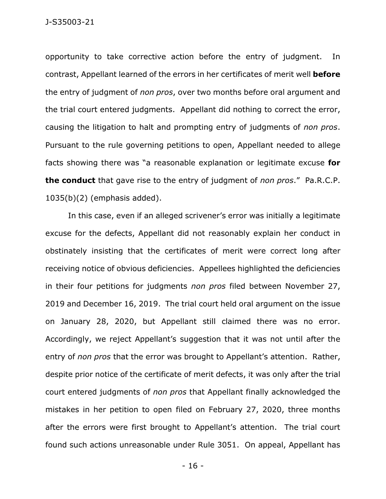opportunity to take corrective action before the entry of judgment. In contrast, Appellant learned of the errors in her certificates of merit well **before** the entry of judgment of *non pros*, over two months before oral argument and the trial court entered judgments. Appellant did nothing to correct the error, causing the litigation to halt and prompting entry of judgments of *non pros*. Pursuant to the rule governing petitions to open, Appellant needed to allege facts showing there was "a reasonable explanation or legitimate excuse **for the conduct** that gave rise to the entry of judgment of *non pros*."Pa.R.C.P. 1035(b)(2) (emphasis added).

In this case, even if an alleged scrivener's error was initially a legitimate excuse for the defects, Appellant did not reasonably explain her conduct in obstinately insisting that the certificates of merit were correct long after receiving notice of obvious deficiencies. Appellees highlighted the deficiencies in their four petitions for judgments *non pros* filed between November 27, 2019 and December 16, 2019. The trial court held oral argument on the issue on January 28, 2020, but Appellant still claimed there was no error. Accordingly, we reject Appellant's suggestion that it was not until after the entry of *non pros* that the error was brought to Appellant's attention. Rather, despite prior notice of the certificate of merit defects, it was only after the trial court entered judgments of *non pros* that Appellant finally acknowledged the mistakes in her petition to open filed on February 27, 2020, three months after the errors were first brought to Appellant's attention. The trial court found such actions unreasonable under Rule 3051. On appeal, Appellant has

- 16 -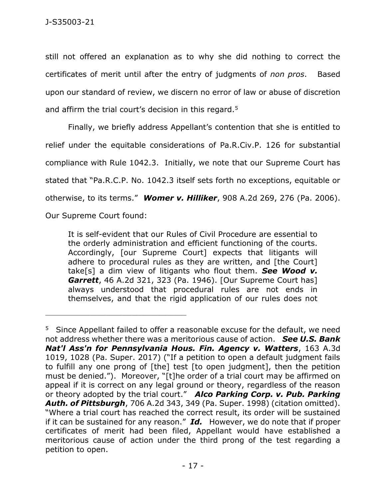still not offered an explanation as to why she did nothing to correct the certificates of merit until after the entry of judgments of *non pros*. Based upon our standard of review, we discern no error of law or abuse of discretion and affirm the trial court's decision in this regard.<sup>5</sup>

Finally, we briefly address Appellant's contention that she is entitled to relief under the equitable considerations of Pa.R.Civ.P. 126 for substantial compliance with Rule 1042.3. Initially, we note that our Supreme Court has stated that "Pa.R.C.P. No. 1042.3 itself sets forth no exceptions, equitable or otherwise, to its terms." *Womer v. Hilliker*, 908 A.2d 269, 276 (Pa. 2006).

Our Supreme Court found:

\_\_\_\_\_\_\_\_\_\_\_\_\_\_\_\_\_\_\_\_\_\_\_\_\_\_\_\_\_\_\_\_\_\_\_\_\_\_\_\_\_\_\_\_

It is self-evident that our Rules of Civil Procedure are essential to the orderly administration and efficient functioning of the courts. Accordingly, [our Supreme Court] expects that litigants will adhere to procedural rules as they are written, and [the Court] take[s] a dim view of litigants who flout them. *See Wood v. Garrett*, 46 A.2d 321, 323 (Pa. 1946). [Our Supreme Court has] always understood that procedural rules are not ends in themselves, and that the rigid application of our rules does not

<sup>&</sup>lt;sup>5</sup> Since Appellant failed to offer a reasonable excuse for the default, we need not address whether there was a meritorious cause of action. *See U.S. Bank Nat'l Ass'n for Pennsylvania Hous. Fin. Agency v. Watters*, 163 A.3d 1019, 1028 (Pa. Super. 2017) ("If a petition to open a default judgment fails to fulfill any one prong of [the] test [to open judgment], then the petition must be denied."). Moreover, "[t]he order of a trial court may be affirmed on appeal if it is correct on any legal ground or theory, regardless of the reason or theory adopted by the trial court." *Alco Parking Corp. v. Pub. Parking Auth. of Pittsburgh*, 706 A.2d 343, 349 (Pa. Super. 1998) (citation omitted). "Where a trial court has reached the correct result, its order will be sustained if it can be sustained for any reason." *Id.* However, we do note that if proper certificates of merit had been filed, Appellant would have established a meritorious cause of action under the third prong of the test regarding a petition to open.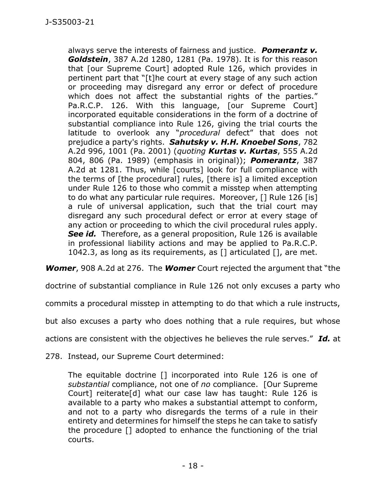always serve the interests of fairness and justice. *Pomerantz v. Goldstein*, 387 A.2d 1280, 1281 (Pa. 1978). It is for this reason that [our Supreme Court] adopted Rule 126, which provides in pertinent part that "[t]he court at every stage of any such action or proceeding may disregard any error or defect of procedure which does not affect the substantial rights of the parties." Pa.R.C.P. 126. With this language, [our Supreme Court] incorporated equitable considerations in the form of a doctrine of substantial compliance into Rule 126, giving the trial courts the latitude to overlook any "*procedural* defect" that does not prejudice a party's rights. *Sahutsky v. H.H. Knoebel Sons*, 782 A.2d 996, 1001 (Pa. 2001) (*quoting Kurtas v. Kurtas*, 555 A.2d 804, 806 (Pa. 1989) (emphasis in original)); *Pomerantz*, 387 A.2d at 1281. Thus, while [courts] look for full compliance with the terms of [the procedural] rules, [there is] a limited exception under Rule 126 to those who commit a misstep when attempting to do what any particular rule requires. Moreover, [] Rule 126 [is] a rule of universal application, such that the trial court may disregard any such procedural defect or error at every stage of any action or proceeding to which the civil procedural rules apply. *See id.* Therefore, as a general proposition, Rule 126 is available in professional liability actions and may be applied to Pa.R.C.P. 1042.3, as long as its requirements, as [] articulated [], are met.

*Womer*, 908 A.2d at 276. The *Womer* Court rejected the argument that "the

doctrine of substantial compliance in Rule 126 not only excuses a party who

commits a procedural misstep in attempting to do that which a rule instructs,

but also excuses a party who does nothing that a rule requires, but whose

actions are consistent with the objectives he believes the rule serves." *Id.* at

278. Instead, our Supreme Court determined:

The equitable doctrine [] incorporated into Rule 126 is one of *substantial* compliance, not one of *no* compliance. [Our Supreme Court] reiterate[d] what our case law has taught: Rule 126 is available to a party who makes a substantial attempt to conform, and not to a party who disregards the terms of a rule in their entirety and determines for himself the steps he can take to satisfy the procedure [] adopted to enhance the functioning of the trial courts.